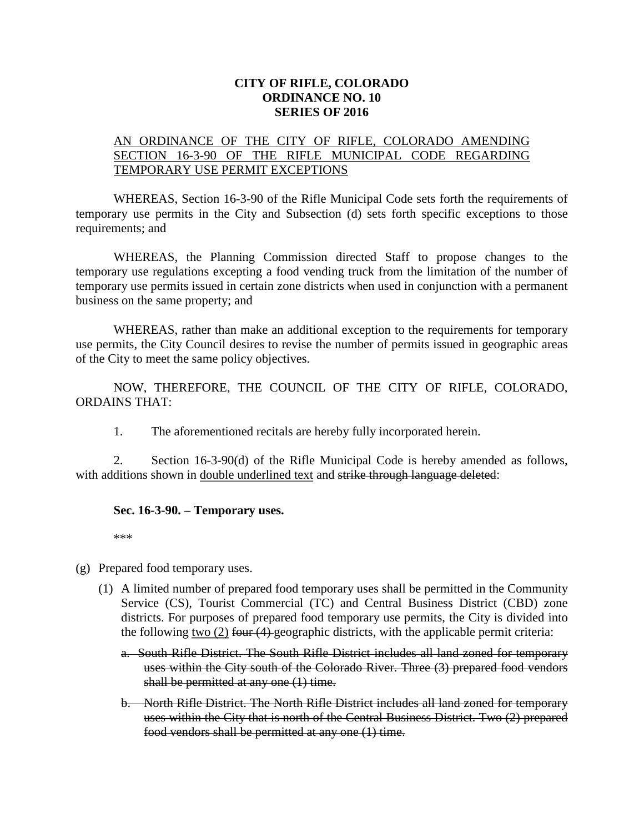## **CITY OF RIFLE, COLORADO ORDINANCE NO. 10 SERIES OF 2016**

## AN ORDINANCE OF THE CITY OF RIFLE, COLORADO AMENDING SECTION 16-3-90 OF THE RIFLE MUNICIPAL CODE REGARDING TEMPORARY USE PERMIT EXCEPTIONS

WHEREAS, Section 16-3-90 of the Rifle Municipal Code sets forth the requirements of temporary use permits in the City and Subsection (d) sets forth specific exceptions to those requirements; and

WHEREAS, the Planning Commission directed Staff to propose changes to the temporary use regulations excepting a food vending truck from the limitation of the number of temporary use permits issued in certain zone districts when used in conjunction with a permanent business on the same property; and

WHEREAS, rather than make an additional exception to the requirements for temporary use permits, the City Council desires to revise the number of permits issued in geographic areas of the City to meet the same policy objectives.

NOW, THEREFORE, THE COUNCIL OF THE CITY OF RIFLE, COLORADO, ORDAINS THAT:

1. The aforementioned recitals are hereby fully incorporated herein.

2. Section 16-3-90(d) of the Rifle Municipal Code is hereby amended as follows, with additions shown in double underlined text and strike through language deleted:

## **Sec. 16-3-90. – Temporary uses.**

\*\*\*

- (g) Prepared food temporary uses.
	- (1) A limited number of prepared food temporary uses shall be permitted in the Community Service (CS), Tourist Commercial (TC) and Central Business District (CBD) zone districts. For purposes of prepared food temporary use permits, the City is divided into the following <u>two  $(2)$  four  $(4)$ -geographic districts</u>, with the applicable permit criteria:
		- a. South Rifle District. The South Rifle District includes all land zoned for temporary uses within the City south of the Colorado River. Three (3) prepared food vendors shall be permitted at any one  $(1)$  time.
		- b. North Rifle District. The North Rifle District includes all land zoned for temporary uses within the City that is north of the Central Business District. Two (2) prepared food vendors shall be permitted at any one (1) time.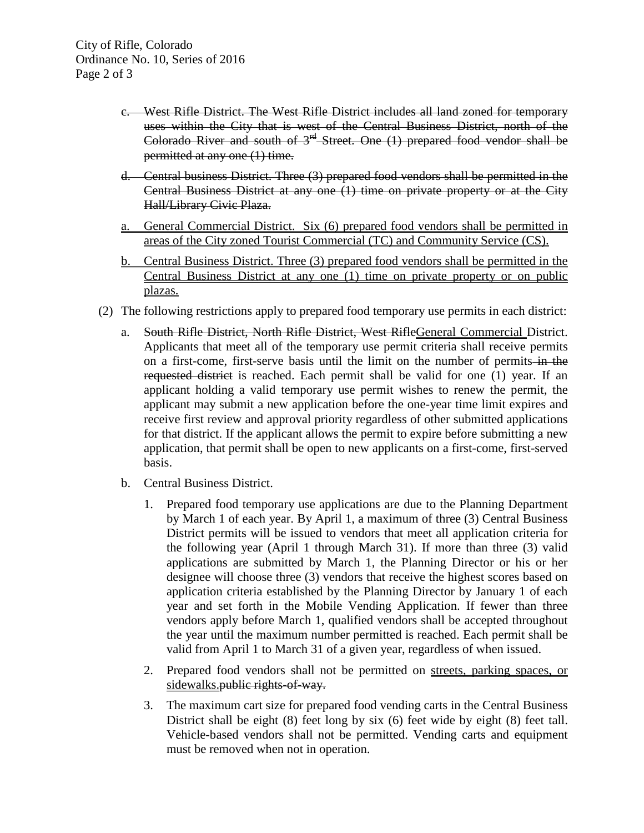- c. West Rifle District. The West Rifle District includes all land zoned for temporary uses within the City that is west of the Central Business District, north of the Colorado River and south of  $3<sup>rd</sup>$  Street. One (1) prepared food vendor shall be permitted at any one (1) time.
- d. Central business District. Three (3) prepared food vendors shall be permitted in the Central Business District at any one (1) time on private property or at the City Hall/Library Civic Plaza.
- a. General Commercial District. Six (6) prepared food vendors shall be permitted in areas of the City zoned Tourist Commercial (TC) and Community Service (CS).
- b. Central Business District. Three (3) prepared food vendors shall be permitted in the Central Business District at any one (1) time on private property or on public plazas.
- (2) The following restrictions apply to prepared food temporary use permits in each district:
	- a. South Rifle District, North Rifle District, West RifleGeneral Commercial District. Applicants that meet all of the temporary use permit criteria shall receive permits on a first-come, first-serve basis until the limit on the number of permits in the requested district is reached. Each permit shall be valid for one (1) year. If an applicant holding a valid temporary use permit wishes to renew the permit, the applicant may submit a new application before the one-year time limit expires and receive first review and approval priority regardless of other submitted applications for that district. If the applicant allows the permit to expire before submitting a new application, that permit shall be open to new applicants on a first-come, first-served basis.
	- b. Central Business District.
		- 1. Prepared food temporary use applications are due to the Planning Department by March 1 of each year. By April 1, a maximum of three (3) Central Business District permits will be issued to vendors that meet all application criteria for the following year (April 1 through March 31). If more than three (3) valid applications are submitted by March 1, the Planning Director or his or her designee will choose three (3) vendors that receive the highest scores based on application criteria established by the Planning Director by January 1 of each year and set forth in the Mobile Vending Application. If fewer than three vendors apply before March 1, qualified vendors shall be accepted throughout the year until the maximum number permitted is reached. Each permit shall be valid from April 1 to March 31 of a given year, regardless of when issued.
		- 2. Prepared food vendors shall not be permitted on streets, parking spaces, or sidewalks. public rights-of-way.
		- 3. The maximum cart size for prepared food vending carts in the Central Business District shall be eight (8) feet long by six (6) feet wide by eight (8) feet tall. Vehicle-based vendors shall not be permitted. Vending carts and equipment must be removed when not in operation.